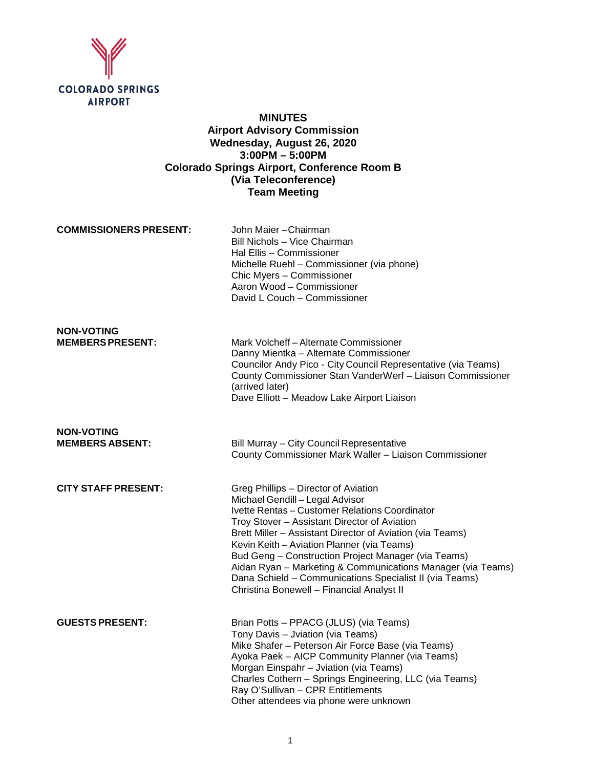

# **MINUTES Airport Advisory Commission Wednesday, August 26, 2020 3:00PM – 5:00PM Colorado Springs Airport, Conference Room B (Via Teleconference) Team Meeting**

**COMMISSIONERS PRESENT:** John Maier – Chairman

Bill Nichols – Vice Chairman Hal Ellis – Commissioner Michelle Ruehl – Commissioner (via phone) Chic Myers – Commissioner Aaron Wood – Commissioner David L Couch – Commissioner

# **NON-VOTING**

Mark Volcheff – Alternate Commissioner Danny Mientka – Alternate Commissioner Councilor Andy Pico - City Council Representative (via Teams) County Commissioner Stan VanderWerf – Liaison Commissioner (arrived later) Dave Elliott – Meadow Lake Airport Liaison

**NON-VOTING**

**Bill Murray – City Council Representative** County Commissioner Mark Waller – Liaison Commissioner

| <b>CITY STAFF PRESENT:</b> | Greg Phillips - Director of Aviation<br>Michael Gendill - Legal Advisor<br>Ivette Rentas - Customer Relations Coordinator<br>Troy Stover – Assistant Director of Aviation<br>Brett Miller – Assistant Director of Aviation (via Teams)<br>Kevin Keith – Aviation Planner (via Teams)<br>Bud Geng – Construction Project Manager (via Teams)<br>Aidan Ryan - Marketing & Communications Manager (via Teams) |
|----------------------------|------------------------------------------------------------------------------------------------------------------------------------------------------------------------------------------------------------------------------------------------------------------------------------------------------------------------------------------------------------------------------------------------------------|
|                            | Dana Schield - Communications Specialist II (via Teams)<br>Christina Bonewell - Financial Analyst II                                                                                                                                                                                                                                                                                                       |
| <b>GUESTS PRESENT:</b>     | Brian Potts - PPACG (JLUS) (via Teams)<br>Tony Davis - Jviation (via Teams)<br>Mike Shafer – Peterson Air Force Base (via Teams)                                                                                                                                                                                                                                                                           |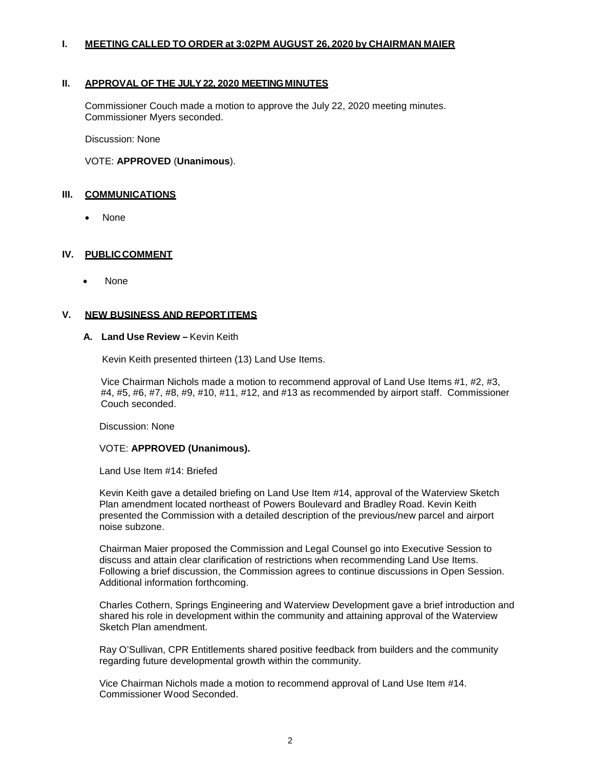## **I. MEETING CALLED TO ORDER at 3:02PM AUGUST 26, 2020 by CHAIRMAN MAIER**

## **II. APPROVAL OF THE JULY22, 2020 MEETINGMINUTES**

Commissioner Couch made a motion to approve the July 22, 2020 meeting minutes. Commissioner Myers seconded.

Discussion: None

#### VOTE: **APPROVED** (**Unanimous**).

#### **III. COMMUNICATIONS**

• None

#### **IV. PUBLICCOMMENT**

• None

#### **V. NEW BUSINESS AND REPORTITEMS**

#### **A. Land Use Review –** Kevin Keith

Kevin Keith presented thirteen (13) Land Use Items.

Vice Chairman Nichols made a motion to recommend approval of Land Use Items #1, #2, #3, #4, #5, #6, #7, #8, #9, #10, #11, #12, and #13 as recommended by airport staff. Commissioner Couch seconded.

Discussion: None

#### VOTE: **APPROVED (Unanimous).**

Land Use Item #14: Briefed

Kevin Keith gave a detailed briefing on Land Use Item #14, approval of the Waterview Sketch Plan amendment located northeast of Powers Boulevard and Bradley Road. Kevin Keith presented the Commission with a detailed description of the previous/new parcel and airport noise subzone.

Chairman Maier proposed the Commission and Legal Counsel go into Executive Session to discuss and attain clear clarification of restrictions when recommending Land Use Items. Following a brief discussion, the Commission agrees to continue discussions in Open Session. Additional information forthcoming.

Charles Cothern, Springs Engineering and Waterview Development gave a brief introduction and shared his role in development within the community and attaining approval of the Waterview Sketch Plan amendment.

Ray O'Sullivan, CPR Entitlements shared positive feedback from builders and the community regarding future developmental growth within the community.

Vice Chairman Nichols made a motion to recommend approval of Land Use Item #14. Commissioner Wood Seconded.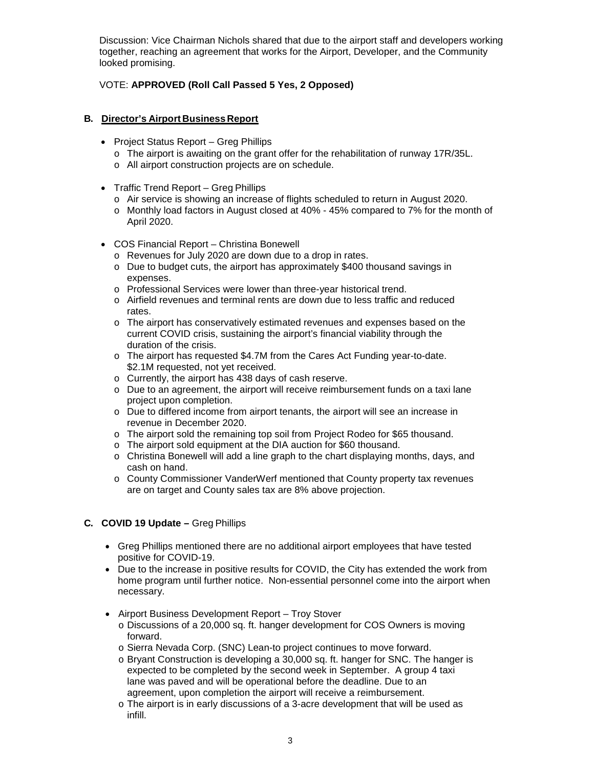Discussion: Vice Chairman Nichols shared that due to the airport staff and developers working together, reaching an agreement that works for the Airport, Developer, and the Community looked promising.

# VOTE: **APPROVED (Roll Call Passed 5 Yes, 2 Opposed)**

## **B. Director's Airport Business Report**

- Project Status Report Greg Phillips
	- o The airport is awaiting on the grant offer for the rehabilitation of runway 17R/35L.
	- o All airport construction projects are on schedule.
- Traffic Trend Report Greg Phillips
	- o Air service is showing an increase of flights scheduled to return in August 2020.
	- o Monthly load factors in August closed at 40% 45% compared to 7% for the month of April 2020.
- COS Financial Report Christina Bonewell
	- o Revenues for July 2020 are down due to a drop in rates.
	- o Due to budget cuts, the airport has approximately \$400 thousand savings in expenses.
	- o Professional Services were lower than three-year historical trend.
	- o Airfield revenues and terminal rents are down due to less traffic and reduced rates.
	- o The airport has conservatively estimated revenues and expenses based on the current COVID crisis, sustaining the airport's financial viability through the duration of the crisis.
	- o The airport has requested \$4.7M from the Cares Act Funding year-to-date. \$2.1M requested, not yet received.
	- o Currently, the airport has 438 days of cash reserve.
	- o Due to an agreement, the airport will receive reimbursement funds on a taxi lane project upon completion.
	- o Due to differed income from airport tenants, the airport will see an increase in revenue in December 2020.
	- o The airport sold the remaining top soil from Project Rodeo for \$65 thousand.
	- o The airport sold equipment at the DIA auction for \$60 thousand.
	- $\circ$  Christina Bonewell will add a line graph to the chart displaying months, days, and cash on hand.
	- o County Commissioner VanderWerf mentioned that County property tax revenues are on target and County sales tax are 8% above projection.

## **C. COVID 19 Update –** Greg Phillips

- Greg Phillips mentioned there are no additional airport employees that have tested positive for COVID-19.
- Due to the increase in positive results for COVID, the City has extended the work from home program until further notice. Non-essential personnel come into the airport when necessary.
- Airport Business Development Report Troy Stover
	- o Discussions of a 20,000 sq. ft. hanger development for COS Owners is moving forward.
	- o Sierra Nevada Corp. (SNC) Lean-to project continues to move forward.
	- o Bryant Construction is developing a 30,000 sq. ft. hanger for SNC. The hanger is expected to be completed by the second week in September. A group 4 taxi lane was paved and will be operational before the deadline. Due to an agreement, upon completion the airport will receive a reimbursement.
	- o The airport is in early discussions of a 3-acre development that will be used as infill.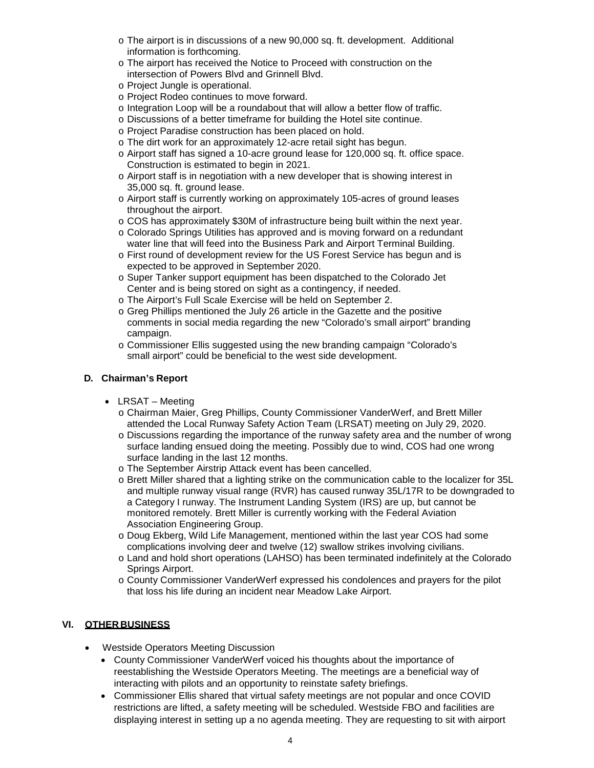- o The airport is in discussions of a new 90,000 sq. ft. development. Additional information is forthcoming.
- o The airport has received the Notice to Proceed with construction on the intersection of Powers Blvd and Grinnell Blvd.
- o Project Jungle is operational.
- o Project Rodeo continues to move forward.
- o Integration Loop will be a roundabout that will allow a better flow of traffic.
- o Discussions of a better timeframe for building the Hotel site continue.
- o Project Paradise construction has been placed on hold.
- o The dirt work for an approximately 12-acre retail sight has begun.
- o Airport staff has signed a 10-acre ground lease for 120,000 sq. ft. office space. Construction is estimated to begin in 2021.
- o Airport staff is in negotiation with a new developer that is showing interest in 35,000 sq. ft. ground lease.
- o Airport staff is currently working on approximately 105-acres of ground leases throughout the airport.
- o COS has approximately \$30M of infrastructure being built within the next year.
- o Colorado Springs Utilities has approved and is moving forward on a redundant water line that will feed into the Business Park and Airport Terminal Building.
- o First round of development review for the US Forest Service has begun and is expected to be approved in September 2020.
- o Super Tanker support equipment has been dispatched to the Colorado Jet Center and is being stored on sight as a contingency, if needed.
- o The Airport's Full Scale Exercise will be held on September 2.
- o Greg Phillips mentioned the July 26 article in the Gazette and the positive comments in social media regarding the new "Colorado's small airport" branding campaign.
- o Commissioner Ellis suggested using the new branding campaign "Colorado's small airport" could be beneficial to the west side development.

# **D. Chairman's Report**

- LRSAT Meeting
	- o Chairman Maier, Greg Phillips, County Commissioner VanderWerf, and Brett Miller attended the Local Runway Safety Action Team (LRSAT) meeting on July 29, 2020.
	- o Discussions regarding the importance of the runway safety area and the number of wrong surface landing ensued doing the meeting. Possibly due to wind, COS had one wrong surface landing in the last 12 months.
	- o The September Airstrip Attack event has been cancelled.
	- o Brett Miller shared that a lighting strike on the communication cable to the localizer for 35L and multiple runway visual range (RVR) has caused runway 35L/17R to be downgraded to a Category I runway. The Instrument Landing System (IRS) are up, but cannot be monitored remotely. Brett Miller is currently working with the Federal Aviation Association Engineering Group.
	- o Doug Ekberg, Wild Life Management, mentioned within the last year COS had some complications involving deer and twelve (12) swallow strikes involving civilians.
	- o Land and hold short operations (LAHSO) has been terminated indefinitely at the Colorado Springs Airport.
	- o County Commissioner VanderWerf expressed his condolences and prayers for the pilot that loss his life during an incident near Meadow Lake Airport.

# **VI. OTHER BUSINESS**

- Westside Operators Meeting Discussion
	- County Commissioner VanderWerf voiced his thoughts about the importance of reestablishing the Westside Operators Meeting. The meetings are a beneficial way of interacting with pilots and an opportunity to reinstate safety briefings.
	- Commissioner Ellis shared that virtual safety meetings are not popular and once COVID restrictions are lifted, a safety meeting will be scheduled. Westside FBO and facilities are displaying interest in setting up a no agenda meeting. They are requesting to sit with airport